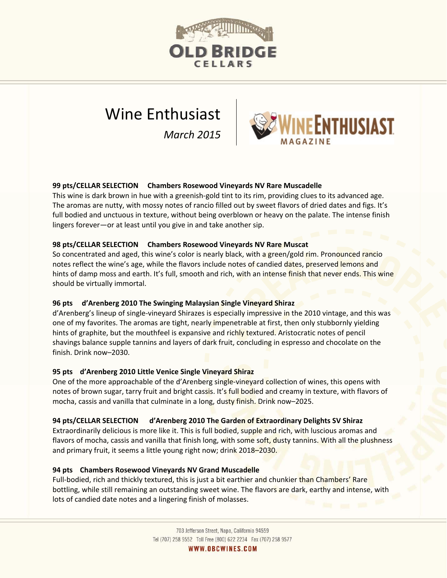

# Wine Enthusiast

*March 2015*



## **99 pts/CELLAR SELECTION Chambers Rosewood Vineyards NV Rare Muscadelle**

This wine is dark brown in hue with a greenish-gold tint to its rim, providing clues to its advanced age. The aromas are nutty, with mossy notes of rancio filled out by sweet flavors of dried dates and figs. It's full bodied and unctuous in texture, without being overblown or heavy on the palate. The intense finish lingers forever—or at least until you give in and take another sip.

#### **98 pts/CELLAR SELECTION Chambers Rosewood Vineyards NV Rare Muscat**

So concentrated and aged, this wine's color is nearly black, with a green/gold rim. Pronounced rancio notes reflect the wine's age, while the flavors include notes of candied dates, preserved lemons and hints of damp moss and earth. It's full, smooth and rich, with an intense finish that never ends. This wine should be virtually immortal.

## **96 pts d'Arenberg 2010 The Swinging Malaysian Single Vineyard Shiraz**

d'Arenberg's lineup of single-vineyard Shirazes is especially impressive in the 2010 vintage, and this was one of my favorites. The aromas are tight, nearly impenetrable at first, then only stubbornly yielding hints of graphite, but the mouthfeel is expansive and richly textured. Aristocratic notes of pencil shavings balance supple tannins and layers of dark fruit, concluding in espresso and chocolate on the finish. Drink now–2030.

#### **95 pts d'Arenberg 2010 Little Venice Single Vineyard Shiraz**

One of the more approachable of the d'Arenberg single-vineyard collection of wines, this opens with notes of brown sugar, tarry fruit and bright cassis. It's full bodied and creamy in texture, with flavors of mocha, cassis and vanilla that culminate in a long, dusty finish. Drink now–2025.

#### **94 pts/CELLAR SELECTION d'Arenberg 2010 The Garden of Extraordinary Delights SV Shiraz**

Extraordinarily delicious is more like it. This is full bodied, supple and rich, with luscious aromas and flavors of mocha, cassis and vanilla that finish long, with some soft, dusty tannins. With all the plushness and primary fruit, it seems a little young right now; drink 2018–2030.

#### **94 pts Chambers Rosewood Vineyards NV Grand Muscadelle**

Full-bodied, rich and thickly textured, this is just a bit earthier and chunkier than Chambers' Rare bottling, while still remaining an outstanding sweet wine. The flavors are dark, earthy and intense, with lots of candied date notes and a lingering finish of molasses.

> 703 Jefferson Street, Napa, California 94559 Tel (707) 258 9552 Toll Free (800) 622 2234 Fax (707) 258 9577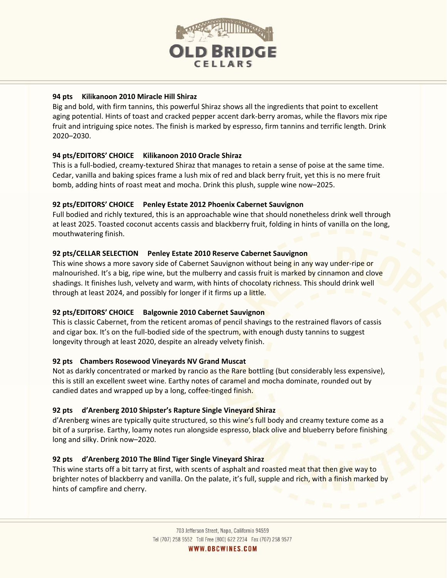

## **94 pts Kilikanoon 2010 Miracle Hill Shiraz**

Big and bold, with firm tannins, this powerful Shiraz shows all the ingredients that point to excellent aging potential. Hints of toast and cracked pepper accent dark‐berry aromas, while the flavors mix ripe fruit and intriguing spice notes. The finish is marked by espresso, firm tannins and terrific length. Drink 2020–2030.

# **94 pts/EDITORS' CHOICE Kilikanoon 2010 Oracle Shiraz**

This is a full-bodied, creamy-textured Shiraz that manages to retain a sense of poise at the same time. Cedar, vanilla and baking spices frame a lush mix of red and black berry fruit, yet this is no mere fruit bomb, adding hints of roast meat and mocha. Drink this plush, supple wine now–2025.

## **92 pts/EDITORS' CHOICE Penley Estate 2012 Phoenix Cabernet Sauvignon**

Full bodied and richly textured, this is an approachable wine that should nonetheless drink well through at least 2025. Toasted coconut accents cassis and blackberry fruit, folding in hints of vanilla on the long, mouthwatering finish.

## **92 pts/CELLAR SELECTION Penley Estate 2010 Reserve Cabernet Sauvignon**

This wine shows a more savory side of Cabernet Sauvignon without being in any way under-ripe or malnourished. It's a big, ripe wine, but the mulberry and cassis fruit is marked by cinnamon and clove shadings. It finishes lush, velvety and warm, with hints of chocolaty richness. This should drink well through at least 2024, and possibly for longer if it firms up a little.

## **92 pts/EDITORS' CHOICE Balgownie 2010 Cabernet Sauvignon**

This is classic Cabernet, from the reticent aromas of pencil shavings to the restrained flavors of cassis and cigar box. It's on the full-bodied side of the spectrum, with enough dusty tannins to suggest longevity through at least 2020, despite an already velvety finish.

## **92 pts Chambers Rosewood Vineyards NV Grand Muscat**

Not as darkly concentrated or marked by rancio as the Rare bottling (but considerably less expensive), this is still an excellent sweet wine. Earthy notes of caramel and mocha dominate, rounded out by candied dates and wrapped up by a long, coffee-tinged finish.

## **92 pts d'Arenberg 2010 Shipster's Rapture Single Vineyard Shiraz**

d'Arenberg wines are typically quite structured, so this wine's full body and creamy texture come as a bit of a surprise. Earthy, loamy notes run alongside espresso, black olive and blueberry before finishing long and silky. Drink now–2020.

## **92 pts d'Arenberg 2010 The Blind Tiger Single Vineyard Shiraz**

This wine starts off a bit tarry at first, with scents of asphalt and roasted meat that then give way to brighter notes of blackberry and vanilla. On the palate, it's full, supple and rich, with a finish marked by hints of campfire and cherry.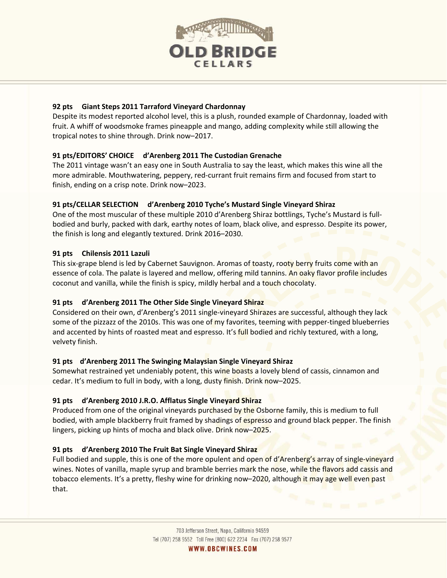

## **92 pts Giant Steps 2011 Tarraford Vineyard Chardonnay**

Despite its modest reported alcohol level, this is a plush, rounded example of Chardonnay, loaded with fruit. A whiff of woodsmoke frames pineapple and mango, adding complexity while still allowing the tropical notes to shine through. Drink now–2017.

## **91 pts/EDITORS' CHOICE d'Arenberg 2011 The Custodian Grenache**

The 2011 vintage wasn't an easy one in South Australia to say the least, which makes this wine all the more admirable. Mouthwatering, peppery, red-currant fruit remains firm and focused from start to finish, ending on a crisp note. Drink now–2023.

## **91 pts/CELLAR SELECTION d'Arenberg 2010 Tyche's Mustard Single Vineyard Shiraz**

One of the most muscular of these multiple 2010 d'Arenberg Shiraz bottlings, Tyche's Mustard is full‐ bodied and burly, packed with dark, earthy notes of loam, black olive, and espresso. Despite its power, the finish is long and elegantly textured. Drink 2016–2030.

## **91 pts Chilensis 2011 Lazuli**

This six-grape blend is led by Cabernet Sauvignon. Aromas of toasty, rooty berry fruits come with an essence of cola. The palate is layered and mellow, offering mild tannins. An oaky flavor profile includes coconut and vanilla, while the finish is spicy, mildly herbal and a touch chocolaty.

# **91 pts d'Arenberg 2011 The Other Side Single Vineyard Shiraz**

Considered on their own, d'Arenberg's 2011 single‐vineyard Shirazes are successful, although they lack some of the pizzazz of the 2010s. This was one of my favorites, teeming with pepper-tinged blueberries and accented by hints of roasted meat and espresso. It's full bodied and richly textured, with a long, velvety finish.

## **91 pts d'Arenberg 2011 The Swinging Malaysian Single Vineyard Shiraz**

Somewhat restrained yet undeniably potent, this wine boasts a lovely blend of cassis, cinnamon and cedar. It's medium to full in body, with a long, dusty finish. Drink now-2025.

## **91 pts d'Arenberg 2010 J.R.O. Afflatus Single Vineyard Shiraz**

Produced from one of the original vineyards purchased by the Osborne family, this is medium to full bodied, with ample blackberry fruit framed by shadings of espresso and ground black pepper. The finish lingers, picking up hints of mocha and black olive. Drink now–2025.

# **91 pts d'Arenberg 2010 The Fruit Bat Single Vineyard Shiraz**

Full bodied and supple, this is one of the more opulent and open of d'Arenberg's array of single-vineyard wines. Notes of vanilla, maple syrup and bramble berries mark the nose, while the flavors add cassis and tobacco elements. It's a pretty, fleshy wine for drinking now-2020, although it may age well even past that.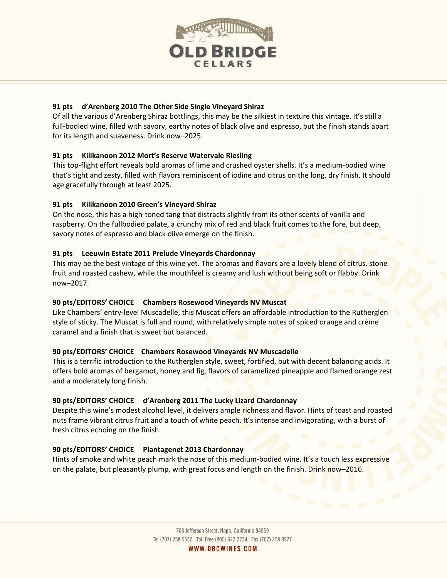

## **91 pts d'Arenberg 2010 The Other Side Single Vineyard Shiraz**

Of all the various d'Arenberg Shiraz bottlings, this may be the silkiest in texture this vintage. It's still a full‐bodied wine, filled with savory, earthy notes of black olive and espresso, but the finish stands apart for its length and suaveness. Drink now–2025.

## **91 pts Kilikanoon 2012 Mort's Reserve Watervale Riesling**

This top‐flight effort reveals bold aromas of lime and crushed oyster shells. It's a medium‐bodied wine that's tight and zesty, filled with flavors reminiscent of iodine and citrus on the long, dry finish. It should age gracefully through at least 2025.

## **91 pts Kilikanoon 2010 Green's Vineyard Shiraz**

On the nose, this has a high-toned tang that distracts slightly from its other scents of vanilla and raspberry. On the fullbodied palate, a crunchy mix of red and black fruit comes to the fore, but deep, savory notes of espresso and black olive emerge on the finish.

## **91 pts Leeuwin Estate 2011 Prelude Vineyards Chardonnay**

This may be the best vintage of this wine yet. The aromas and flavors are a lovely blend of citrus, stone fruit and roasted cashew, while the mouthfeel is creamy and lush without being soft or flabby. Drink now–2017.

## **90 pts/EDITORS' CHOICE Chambers Rosewood Vineyards NV Muscat**

Like Chambers' entry-level Muscadelle, this Muscat offers an affordable introduction to the Rutherglen style of sticky. The Muscat is full and round, with relatively simple notes of spiced orange and crème caramel and a finish that is sweet but balanced.

## **90 pts/EDITORS' CHOICE Chambers Rosewood Vineyards NV Muscadelle**

This is a terrific introduction to the Rutherglen style, sweet, fortified, but with decent balancing acids. It offers bold aromas of bergamot, honey and fig, flavors of caramelized pineapple and flamed orange zest and a moderately long finish.

## **90 pts/EDITORS' CHOICE d'Arenberg 2011 The Lucky Lizard Chardonnay**

Despite this wine's modest alcohol level, it delivers ample richness and flavor. Hints of toast and roasted nuts frame vibrant citrus fruit and a touch of white peach. It's intense and invigorating, with a burst of fresh citrus echoing on the finish.

# **90 pts/EDITORS' CHOICE Plantagenet 2013 Chardonnay**

Hints of smoke and white peach mark the nose of this medium-bodied wine. It's a touch less expressive on the palate, but pleasantly plump, with great focus and length on the finish. Drink now–2016.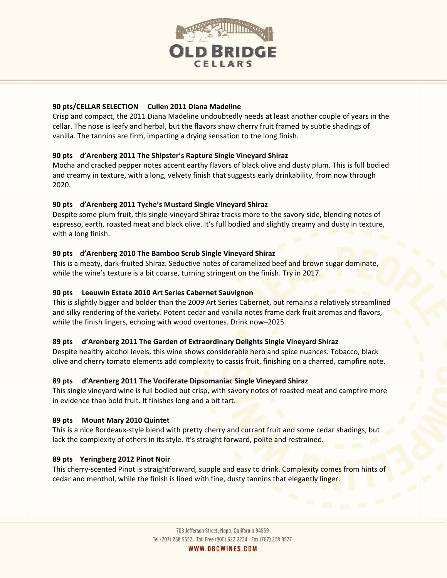

## **90 pts/CELLAR SELECTION Cullen 2011 Diana Madeline**

Crisp and compact, the 2011 Diana Madeline undoubtedly needs at least another couple of years in the cellar. The nose is leafy and herbal, but the flavors show cherry fruit framed by subtle shadings of vanilla. The tannins are firm, imparting a drying sensation to the long finish.

## **90 pts d'Arenberg 2011 The Shipster's Rapture Single Vineyard Shiraz**

Mocha and cracked pepper notes accent earthy flavors of black olive and dusty plum. This is full bodied and creamy in texture, with a long, velvety finish that suggests early drinkability, from now through 2020.

## **90 pts d'Arenberg 2011 Tyche's Mustard Single Vineyard Shiraz**

Despite some plum fruit, this single-vineyard Shiraz tracks more to the savory side, blending notes of espresso, earth, roasted meat and black olive. It's full bodied and slightly creamy and dusty in texture, with a long finish.

## **90 pts d'Arenberg 2010 The Bamboo Scrub Single Vineyard Shiraz**

This is a meaty, dark-fruited Shiraz. Seductive notes of caramelized beef and brown sugar dominate, while the wine's texture is a bit coarse, turning stringent on the finish. Try in 2017.

## **90 pts Leeuwin Estate 2010 Art Series Cabernet Sauvignon**

This is slightly bigger and bolder than the 2009 Art Series Cabernet, but remains a relatively streamlined and silky rendering of the variety. Potent cedar and vanilla notes frame dark fruit aromas and flavors, while the finish lingers, echoing with wood overtones. Drink now-2025.

# **89 pts d'Arenberg 2011 The Garden of Extraordinary Delights Single Vineyard Shiraz**

Despite healthy alcohol levels, this wine shows considerable herb and spice nuances. Tobacco, black olive and cherry tomato elements add complexity to cassis fruit, finishing on a charred, campfire note.

## **89 pts d'Arenberg 2011 The Vociferate Dipsomaniac Single Vineyard Shiraz**

This single vineyard wine is full bodied but crisp, with savory notes of roasted meat and campfire more in evidence than bold fruit. It finishes long and a bit tart.

## **89 pts Mount Mary 2010 Quintet**

This is a nice Bordeaux-style blend with pretty cherry and currant fruit and some cedar shadings, but lack the complexity of others in its style. It's straight forward, polite and restrained.

## **89 pts Yeringberg 2012 Pinot Noir**

This cherry-scented Pinot is straightforward, supple and easy to drink. Complexity comes from hints of cedar and menthol, while the finish is lined with fine, dusty tannins that elegantly linger.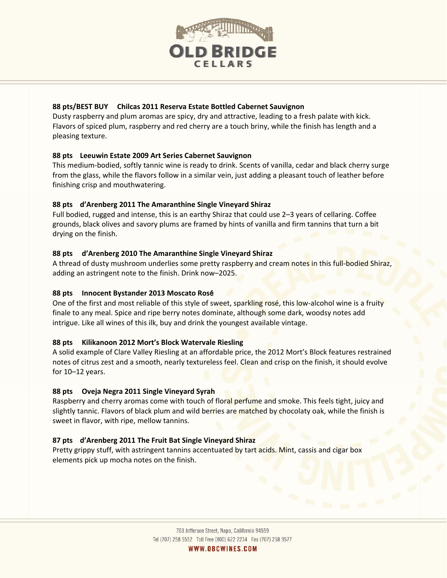

## **88 pts/BEST BUY Chilcas 2011 Reserva Estate Bottled Cabernet Sauvignon**

Dusty raspberry and plum aromas are spicy, dry and attractive, leading to a fresh palate with kick. Flavors of spiced plum, raspberry and red cherry are a touch briny, while the finish has length and a pleasing texture.

## **88 pts Leeuwin Estate 2009 Art Series Cabernet Sauvignon**

This medium‐bodied, softly tannic wine is ready to drink. Scents of vanilla, cedar and black cherry surge from the glass, while the flavors follow in a similar vein, just adding a pleasant touch of leather before finishing crisp and mouthwatering.

## **88 pts d'Arenberg 2011 The Amaranthine Single Vineyard Shiraz**

Full bodied, rugged and intense, this is an earthy Shiraz that could use 2–3 years of cellaring. Coffee grounds, black olives and savory plums are framed by hints of vanilla and firm tannins that turn a bit drying on the finish.

## **88 pts d'Arenberg 2010 The Amaranthine Single Vineyard Shiraz**

A thread of dusty mushroom underlies some pretty raspberry and cream notes in this full-bodied Shiraz, adding an astringent note to the finish. Drink now–2025.

## **88 pts Innocent Bystander 2013 Moscato Ros**é

One of the first and most reliable of this style of sweet, sparkling rosé, this low-alcohol wine is a fruity finale to any meal. Spice and ripe berry notes dominate, although some dark, woodsy notes add intrigue. Like all wines of this ilk, buy and drink the youngest available vintage.

# **88 pts Kilikanoon 2012 Mort's Block Watervale Riesling**

A solid example of Clare Valley Riesling at an affordable price, the 2012 Mort's Block features restrained notes of citrus zest and a smooth, nearly textureless feel. Clean and crisp on the finish, it should evolve for 10–12 years.

# **88 pts Oveja Negra 2011 Single Vineyard Syrah**

Raspberry and cherry aromas come with touch of floral perfume and smoke. This feels tight, juicy and slightly tannic. Flavors of black plum and wild berries are matched by chocolaty oak, while the finish is sweet in flavor, with ripe, mellow tannins.

## **87 pts d'Arenberg 2011 The Fruit Bat Single Vineyard Shiraz**

Pretty grippy stuff, with astringent tannins accentuated by tart acids. Mint, cassis and cigar box elements pick up mocha notes on the finish.